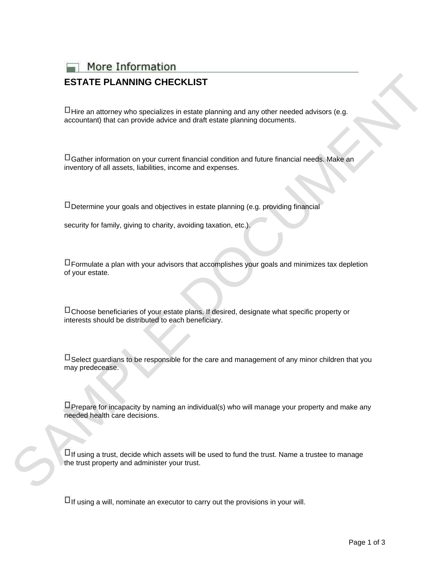More Information

## **ESTATE PLANNING CHECKLIST**

 $\Box$  Hire an attorney who specializes in estate planning and any other needed advisors (e.g. accountant) that can provide advice and draft estate planning documents.

Gather information on your current financial condition and future financial needs. Make an inventory of all assets, liabilities, income and expenses.

 $\Box$  Determine your goals and objectives in estate planning (e.g. providing financial

security for family, giving to charity, avoiding taxation, etc.).

 $\Box$  Formulate a plan with your advisors that accomplishes your goals and minimizes tax depletion of your estate.

 $\Box$  Choose beneficiaries of your estate plans. If desired, designate what specific property or interests should be distributed to each beneficiary.

 $\Box$  Select guardians to be responsible for the care and management of any minor children that you may predecease. STATE PLANNING CHECKLIST<br>
China an attornoy who spocializes in estate planning and any other needed solviors (e.g.<br>
accountant) that can provide advice and slich estate planning ulcourients:<br>
Channel reformation on your ca

 $\Box$  Prepare for incapacity by naming an individual(s) who will manage your property and make any needed health care decisions.

 $\Box$  If using a trust, decide which assets will be used to fund the trust. Name a trustee to manage the trust property and administer your trust.

 $\Box$  If using a will, nominate an executor to carry out the provisions in your will.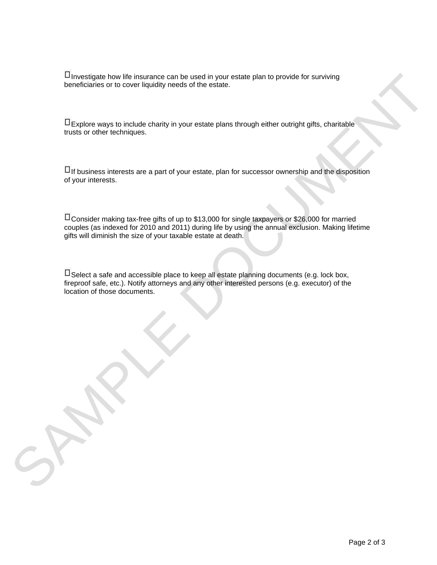$\Box$  Investigate how life insurance can be used in your estate plan to provide for surviving beneficiaries or to cover liquidity needs of the estate.

Explore ways to include charity in your estate plans through either outright gifts, charitable trusts or other techniques.

 $\Box$  If business interests are a part of your estate, plan for successor ownership and the disposition of your interests.

Consider making tax-free gifts of up to \$13,000 for single taxpayers or \$26,000 for married couples (as indexed for 2010 and 2011) during life by using the annual exclusion. Making lifetime gifts will diminish the size of your taxable estate at death. Unroomiginate how fit interprene can be used in your estate plane show therefore plane through the techniques.<br>
The process ways to include charge in your estate plane should) reliver outsight gifts, charitable<br>
The proces

 $\Box$  Select a safe and accessible place to keep all estate planning documents (e.g. lock box, fireproof safe, etc.). Notify attorneys and any other interested persons (e.g. executor) of the location of those documents.